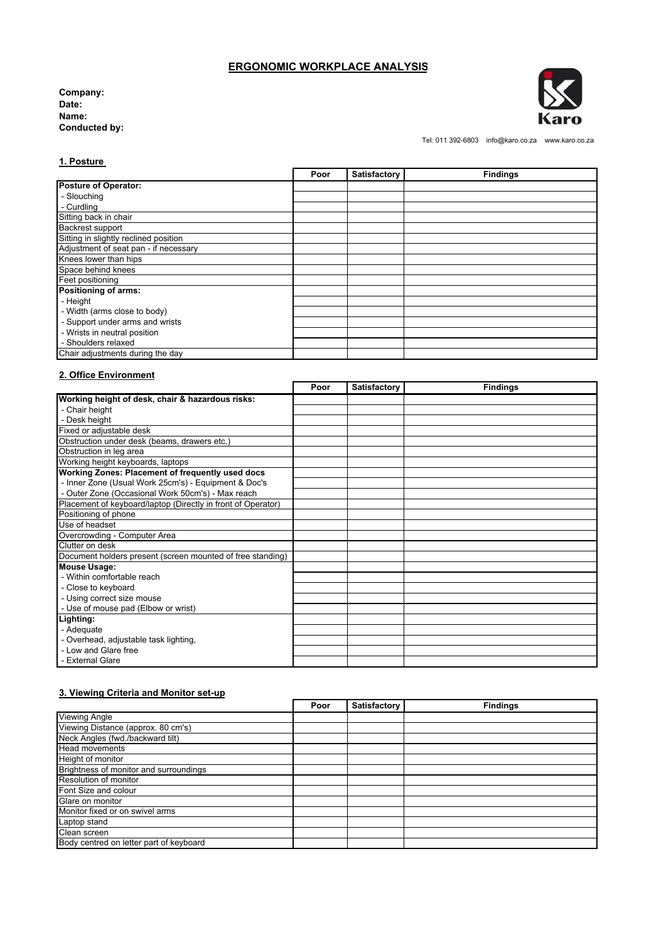# **ERGONOMIC WORKPLACE ANALYSIS**

**Company: Date: Name: Conducted by:** 



Tel: 011 392-6803 info@karo.co.za www.karo.co.za

### **1. Posture**

|                                       | Poor | Satisfactory | <b>Findings</b> |
|---------------------------------------|------|--------------|-----------------|
| <b>Posture of Operator:</b>           |      |              |                 |
| - Slouching                           |      |              |                 |
| - Curdling                            |      |              |                 |
| Sitting back in chair                 |      |              |                 |
| Backrest support                      |      |              |                 |
| Sitting in slightly reclined position |      |              |                 |
| Adjustment of seat pan - if necessary |      |              |                 |
| Knees lower than hips                 |      |              |                 |
| Space behind knees                    |      |              |                 |
| Feet positioning                      |      |              |                 |
| Positioning of arms:                  |      |              |                 |
| - Height                              |      |              |                 |
| - Width (arms close to body)          |      |              |                 |
| - Support under arms and wrists       |      |              |                 |
| - Wrists in neutral position          |      |              |                 |
| - Shoulders relaxed                   |      |              |                 |
| Chair adjustments during the day      |      |              |                 |

# **2. Office Environment**

|                                                              | Poor | <b>Satisfactory</b> | <b>Findings</b> |
|--------------------------------------------------------------|------|---------------------|-----------------|
| Working height of desk, chair & hazardous risks:             |      |                     |                 |
| - Chair height                                               |      |                     |                 |
| - Desk height                                                |      |                     |                 |
| Fixed or adjustable desk                                     |      |                     |                 |
| Obstruction under desk (beams, drawers etc.)                 |      |                     |                 |
| Obstruction in leg area                                      |      |                     |                 |
| Working height keyboards, laptops                            |      |                     |                 |
| Working Zones: Placement of frequently used docs             |      |                     |                 |
| - Inner Zone (Usual Work 25cm's) - Equipment & Doc's         |      |                     |                 |
| - Outer Zone (Occasional Work 50cm's) - Max reach            |      |                     |                 |
| Placement of keyboard/laptop (Directly in front of Operator) |      |                     |                 |
| Positioning of phone                                         |      |                     |                 |
| Use of headset                                               |      |                     |                 |
| Overcrowding - Computer Area                                 |      |                     |                 |
| Clutter on desk                                              |      |                     |                 |
| Document holders present (screen mounted of free standing)   |      |                     |                 |
| <b>Mouse Usage:</b>                                          |      |                     |                 |
| - Within comfortable reach                                   |      |                     |                 |
| - Close to keyboard                                          |      |                     |                 |
| - Using correct size mouse                                   |      |                     |                 |
| - Use of mouse pad (Elbow or wrist)                          |      |                     |                 |
| Lighting:                                                    |      |                     |                 |
| - Adequate                                                   |      |                     |                 |
| - Overhead, adjustable task lighting,                        |      |                     |                 |
| - Low and Glare free                                         |      |                     |                 |
| - External Glare                                             |      |                     |                 |

# **3. Viewing Criteria and Monitor set-up**

|                                         | Poor | Satisfactory | <b>Findings</b> |
|-----------------------------------------|------|--------------|-----------------|
| <b>Viewing Angle</b>                    |      |              |                 |
| Viewing Distance (approx. 80 cm's)      |      |              |                 |
| Neck Angles (fwd./backward tilt)        |      |              |                 |
| <b>Head movements</b>                   |      |              |                 |
| Height of monitor                       |      |              |                 |
| Brightness of monitor and surroundings  |      |              |                 |
| Resolution of monitor                   |      |              |                 |
| Font Size and colour                    |      |              |                 |
| Glare on monitor                        |      |              |                 |
| Monitor fixed or on swivel arms         |      |              |                 |
| Laptop stand                            |      |              |                 |
| Clean screen                            |      |              |                 |
| Body centred on letter part of keyboard |      |              |                 |